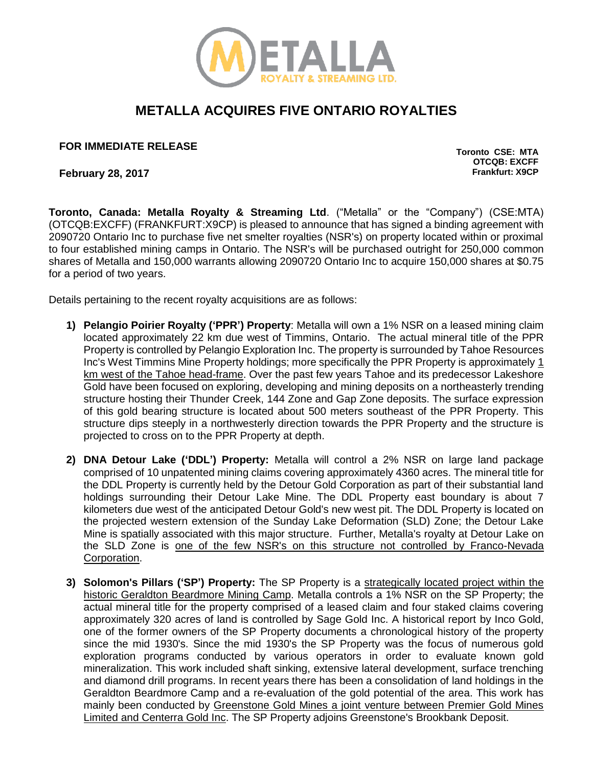

## **METALLA ACQUIRES FIVE ONTARIO ROYALTIES**

**FOR IMMEDIATE RELEASE TORONTO CONSUMING THE SECOND SECOND CONSUMING CONSUMING CONSUMING CONSUMING CONSUMING CONSUMING CONSUMING CONSUMING CONSUMING CONSUMING CONSUMING CONSUMING CONSUMING CONSUMING CONSUMING CONSUMING C** 

**February 28, 2017 Frankfurt: X9CP**

**OTCQB: EXCFF**

**Toronto, Canada: Metalla Royalty & Streaming Ltd**. ("Metalla" or the "Company") (CSE:MTA) (OTCQB:EXCFF) (FRANKFURT:X9CP) is pleased to announce that has signed a binding agreement with 2090720 Ontario Inc to purchase five net smelter royalties (NSR's) on property located within or proximal to four established mining camps in Ontario. The NSR's will be purchased outright for 250,000 common shares of Metalla and 150,000 warrants allowing 2090720 Ontario Inc to acquire 150,000 shares at \$0.75 for a period of two years.

Details pertaining to the recent royalty acquisitions are as follows:

- **1) Pelangio Poirier Royalty ('PPR') Property**: Metalla will own a 1% NSR on a leased mining claim located approximately 22 km due west of Timmins, Ontario. The actual mineral title of the PPR Property is controlled by Pelangio Exploration Inc. The property is surrounded by Tahoe Resources Inc's West Timmins Mine Property holdings; more specifically the PPR Property is approximately 1 km west of the Tahoe head-frame. Over the past few years Tahoe and its predecessor Lakeshore Gold have been focused on exploring, developing and mining deposits on a northeasterly trending structure hosting their Thunder Creek, 144 Zone and Gap Zone deposits. The surface expression of this gold bearing structure is located about 500 meters southeast of the PPR Property. This structure dips steeply in a northwesterly direction towards the PPR Property and the structure is projected to cross on to the PPR Property at depth.
- **2) DNA Detour Lake ('DDL') Property:** Metalla will control a 2% NSR on large land package comprised of 10 unpatented mining claims covering approximately 4360 acres. The mineral title for the DDL Property is currently held by the Detour Gold Corporation as part of their substantial land holdings surrounding their Detour Lake Mine. The DDL Property east boundary is about 7 kilometers due west of the anticipated Detour Gold's new west pit. The DDL Property is located on the projected western extension of the Sunday Lake Deformation (SLD) Zone; the Detour Lake Mine is spatially associated with this major structure. Further, Metalla's royalty at Detour Lake on the SLD Zone is one of the few NSR's on this structure not controlled by Franco-Nevada Corporation.
- **3) Solomon's Pillars ('SP') Property:** The SP Property is a strategically located project within the historic Geraldton Beardmore Mining Camp. Metalla controls a 1% NSR on the SP Property; the actual mineral title for the property comprised of a leased claim and four staked claims covering approximately 320 acres of land is controlled by Sage Gold Inc. A historical report by Inco Gold, one of the former owners of the SP Property documents a chronological history of the property since the mid 1930's. Since the mid 1930's the SP Property was the focus of numerous gold exploration programs conducted by various operators in order to evaluate known gold mineralization. This work included shaft sinking, extensive lateral development, surface trenching and diamond drill programs. In recent years there has been a consolidation of land holdings in the Geraldton Beardmore Camp and a re-evaluation of the gold potential of the area. This work has mainly been conducted by Greenstone Gold Mines a joint venture between Premier Gold Mines Limited and Centerra Gold Inc. The SP Property adjoins Greenstone's Brookbank Deposit.